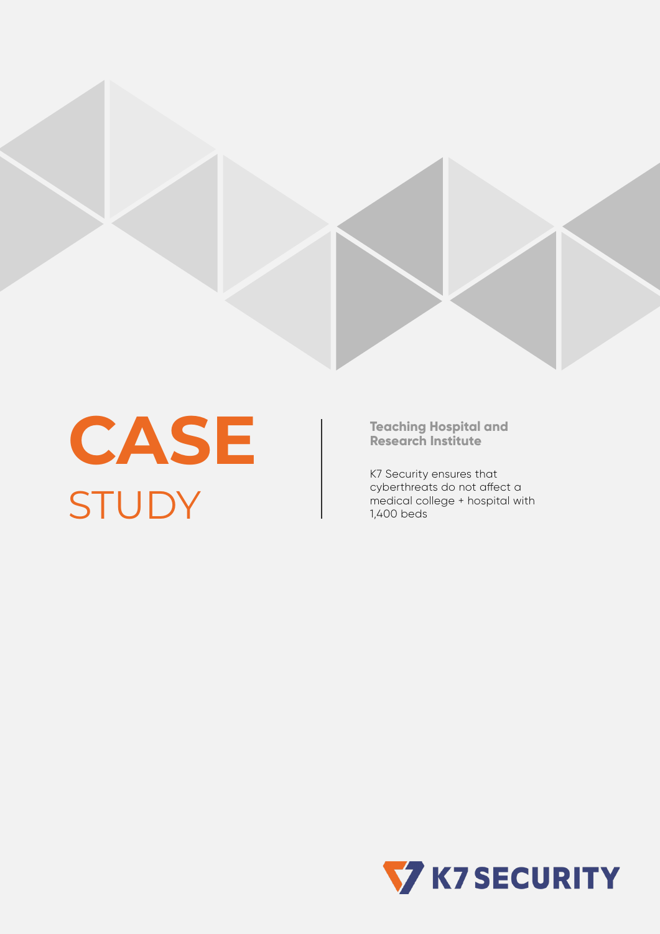

**CASE STUDY** 

**Teaching Hospital and Research Institute**

K7 Security ensures that cyberthreats do not affect a medical college + hospital with 1,400 beds

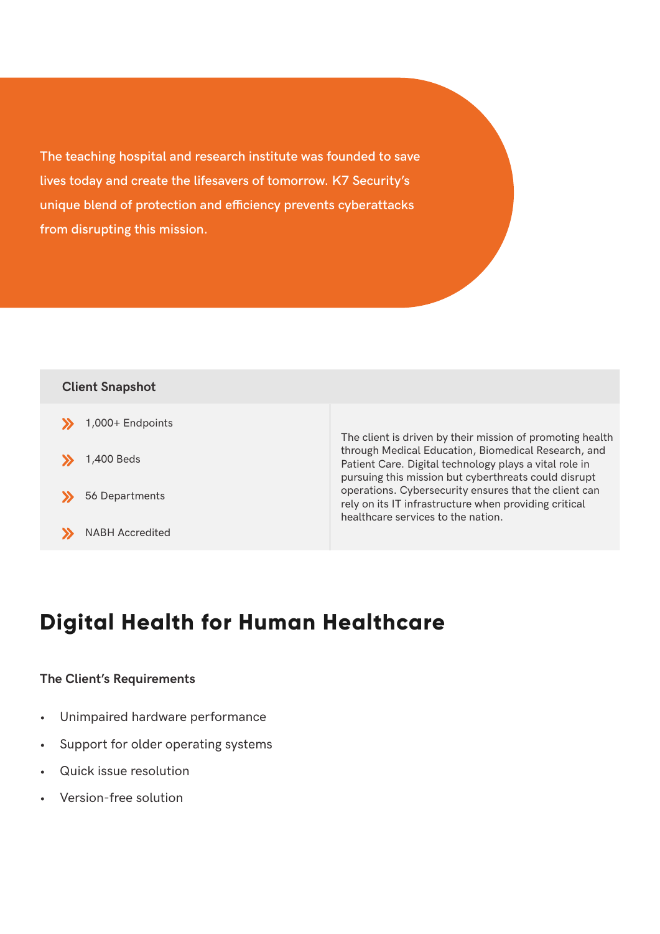**The teaching hospital and research institute was founded to save lives today and create the lifesavers of tomorrow. K7 Security's unique blend of protection and efficiency prevents cyberattacks from disrupting this mission.**



# **Digital Health for Human Healthcare**

### **The Client's Requirements**

- Unimpaired hardware performance
- Support for older operating systems
- Quick issue resolution
- Version-free solution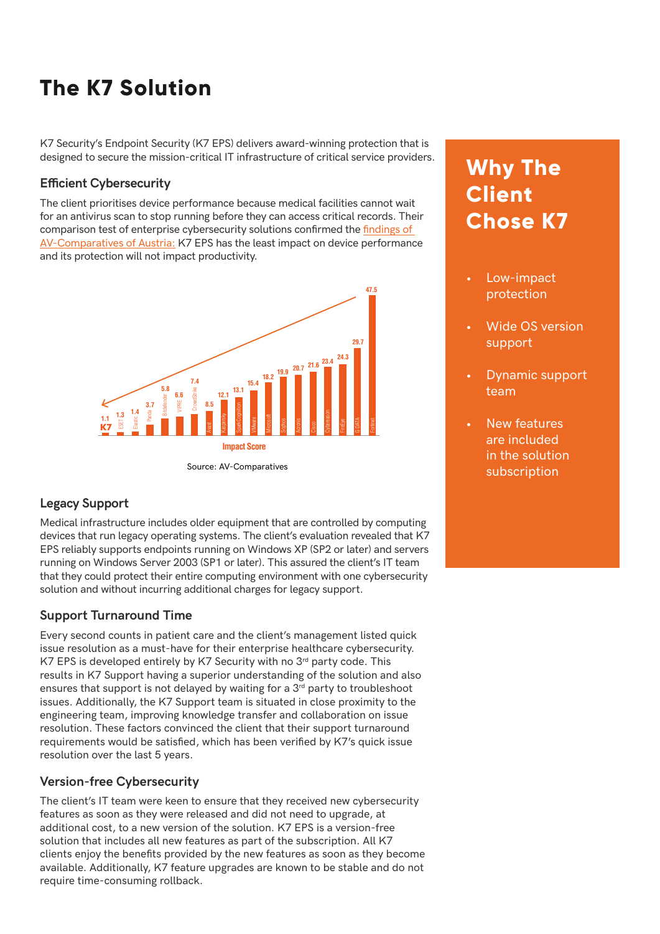# **The K7 Solution**

K7 Security's Endpoint Security (K7 EPS) delivers award-winning protection that is designed to secure the mission-critical IT infrastructure of critical service providers.

#### **Efficient Cybersecurity**

The client prioritises device performance because medical facilities cannot wait for an antivirus scan to stop running before they can access critical records. Their comparison test of enterprise cybersecurity solutions confirmed the [findings of](https://www.av-comparatives.org/tests/business-security-test-2020-march-june/)  [AV-Comparatives of Austria:](https://www.av-comparatives.org/tests/business-security-test-2020-march-june/) K7 EPS has the least impact on device performance and its protection will not impact productivity.



### **Legacy Support**

Medical infrastructure includes older equipment that are controlled by computing devices that run legacy operating systems. The client's evaluation revealed that K7 EPS reliably supports endpoints running on Windows XP (SP2 or later) and servers running on Windows Server 2003 (SP1 or later). This assured the client's IT team that they could protect their entire computing environment with one cybersecurity solution and without incurring additional charges for legacy support.

### **Support Turnaround Time**

Every second counts in patient care and the client's management listed quick issue resolution as a must-have for their enterprise healthcare cybersecurity. K7 EPS is developed entirely by K7 Security with no  $3<sup>rd</sup>$  party code. This results in K7 Support having a superior understanding of the solution and also ensures that support is not delayed by waiting for a 3<sup>rd</sup> party to troubleshoot issues. Additionally, the K7 Support team is situated in close proximity to the engineering team, improving knowledge transfer and collaboration on issue resolution. These factors convinced the client that their support turnaround requirements would be satisfied, which has been verified by K7's quick issue resolution over the last 5 years.

### **Version-free Cybersecurity**

The client's IT team were keen to ensure that they received new cybersecurity features as soon as they were released and did not need to upgrade, at additional cost, to a new version of the solution. K7 EPS is a version-free solution that includes all new features as part of the subscription. All K7 clients enjoy the benefits provided by the new features as soon as they become available. Additionally, K7 feature upgrades are known to be stable and do not require time-consuming rollback.

## **Why The Client Chose K7**

- Low-impact protection
- Wide OS version support
- Dynamic support team
- New features are included in the solution subscription